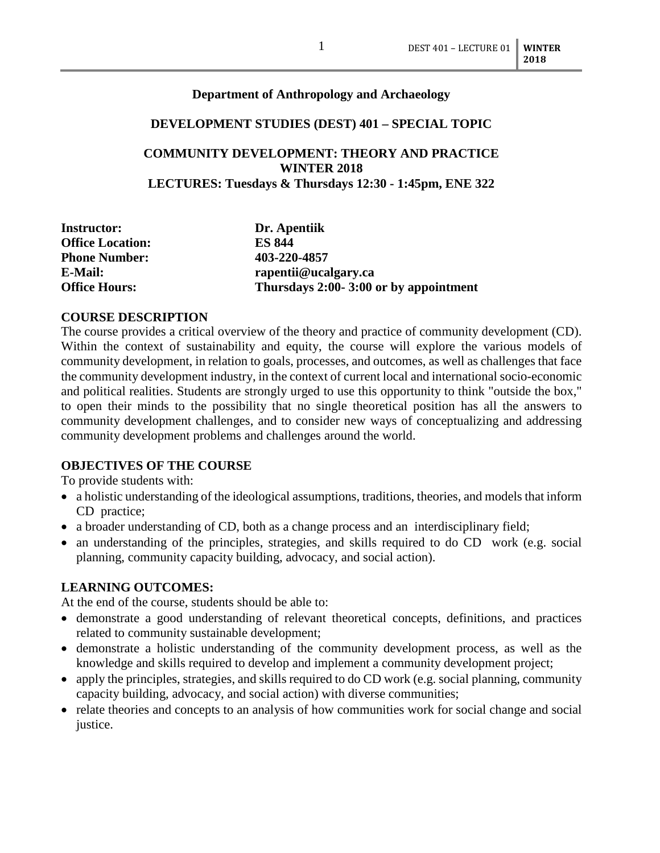#### **Department of Anthropology and Archaeology**

#### **DEVELOPMENT STUDIES (DEST) 401 – SPECIAL TOPIC**

### **COMMUNITY DEVELOPMENT: THEORY AND PRACTICE WINTER 2018 LECTURES: Tuesdays & Thursdays 12:30 - 1:45pm, ENE 322**

| Dr. Apentiik                          |
|---------------------------------------|
| <b>ES 844</b>                         |
| 403-220-4857                          |
| rapentii@ucalgary.ca                  |
| Thursdays 2:00-3:00 or by appointment |
|                                       |

#### **COURSE DESCRIPTION**

The course provides a critical overview of the theory and practice of community development (CD). Within the context of sustainability and equity, the course will explore the various models of community development, in relation to goals, processes, and outcomes, as well as challenges that face the community development industry, in the context of current local and international socio-economic and political realities. Students are strongly urged to use this opportunity to think "outside the box," to open their minds to the possibility that no single theoretical position has all the answers to community development challenges, and to consider new ways of conceptualizing and addressing community development problems and challenges around the world.

#### **OBJECTIVES OF THE COURSE**

To provide students with:

- a holistic understanding of the ideological assumptions, traditions, theories, and models that inform CD practice;
- a broader understanding of CD, both as a change process and an interdisciplinary field;
- an understanding of the principles, strategies, and skills required to do CD work (e.g. social planning, community capacity building, advocacy, and social action).

#### **LEARNING OUTCOMES:**

At the end of the course, students should be able to:

- demonstrate a good understanding of relevant theoretical concepts, definitions, and practices related to community sustainable development;
- demonstrate a holistic understanding of the community development process, as well as the knowledge and skills required to develop and implement a community development project;
- apply the principles, strategies, and skills required to do CD work (e.g. social planning, community capacity building, advocacy, and social action) with diverse communities;
- relate theories and concepts to an analysis of how communities work for social change and social justice.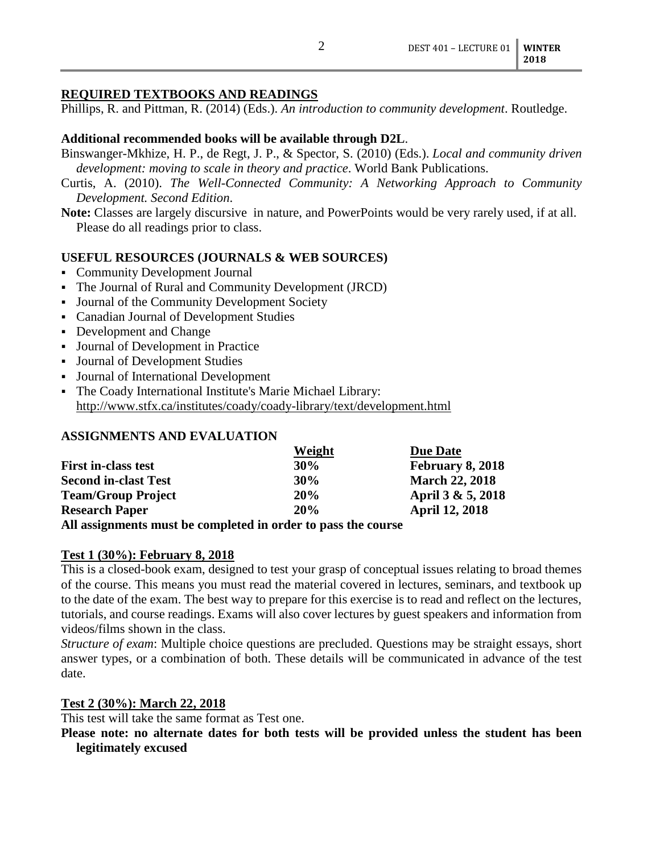### **REQUIRED TEXTBOOKS AND READINGS**

Phillips, R. and Pittman, R. (2014) (Eds.). *An introduction to community development*. Routledge.

### **Additional recommended books will be available through D2L**.

- Binswanger-Mkhize, H. P., de Regt, J. P., & Spector, S. (2010) (Eds.). *Local and community driven development: moving to scale in theory and practice*. World Bank Publications.
- Curtis, A. (2010). *The Well-Connected Community: A Networking Approach to Community Development. Second Edition*.

**Note:** Classes are largely discursive in nature, and PowerPoints would be very rarely used, if at all. Please do all readings prior to class.

# **USEFUL RESOURCES (JOURNALS & WEB SOURCES)**

- Community Development Journal
- The Journal of Rural and Community Development (JRCD)
- Journal of the Community Development Society
- Canadian Journal of Development Studies
- Development and Change
- Journal of Development in Practice
- Journal of Development Studies
- Journal of International Development
- The Coady International Institute's Marie Michael Library: <http://www.stfx.ca/institutes/coady/coady-library/text/development.html>

### **ASSIGNMENTS AND EVALUATION**

|                             | Weight | <b>Due Date</b>       |
|-----------------------------|--------|-----------------------|
| <b>First in-class test</b>  | $30\%$ | February 8, 2018      |
| <b>Second in-clast Test</b> | 30%    | <b>March 22, 2018</b> |
| <b>Team/Group Project</b>   | 20%    | April 3 & 5, 2018     |
| <b>Research Paper</b>       | 20%    | <b>April 12, 2018</b> |
|                             |        |                       |

**All assignments must be completed in order to pass the course**

### **Test 1 (30%): February 8, 2018**

This is a closed-book exam, designed to test your grasp of conceptual issues relating to broad themes of the course. This means you must read the material covered in lectures, seminars, and textbook up to the date of the exam. The best way to prepare for this exercise is to read and reflect on the lectures, tutorials, and course readings. Exams will also cover lectures by guest speakers and information from videos/films shown in the class.

*Structure of exam*: Multiple choice questions are precluded. Questions may be straight essays, short answer types, or a combination of both. These details will be communicated in advance of the test date.

### **Test 2 (30%): March 22, 2018**

This test will take the same format as Test one.

**Please note: no alternate dates for both tests will be provided unless the student has been legitimately excused**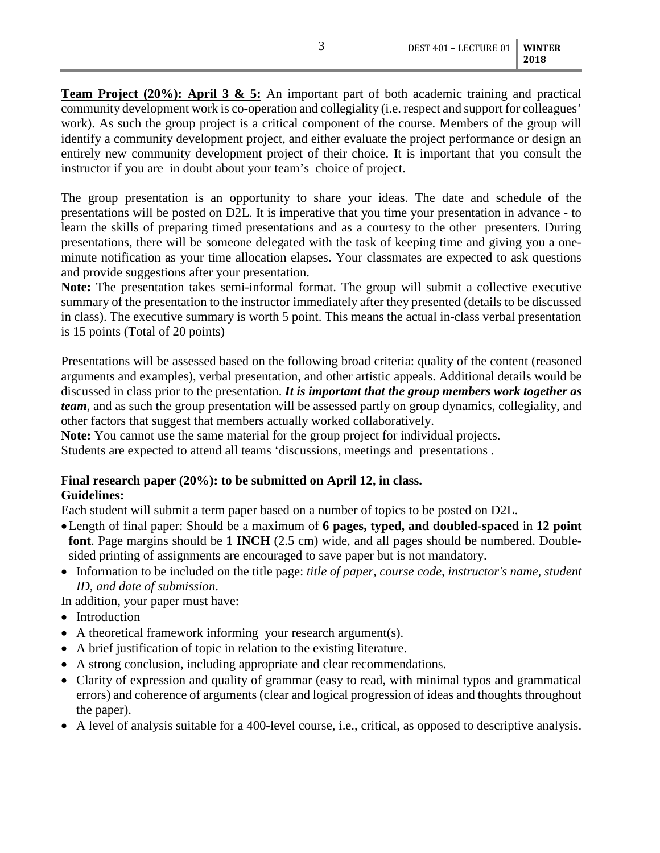**Team Project (20%): April 3 & 5:** An important part of both academic training and practical community development work is co-operation and collegiality (i.e. respect and support for colleagues' work). As such the group project is a critical component of the course. Members of the group will identify a community development project, and either evaluate the project performance or design an entirely new community development project of their choice. It is important that you consult the instructor if you are in doubt about your team's choice of project.

The group presentation is an opportunity to share your ideas. The date and schedule of the presentations will be posted on D2L. It is imperative that you time your presentation in advance - to learn the skills of preparing timed presentations and as a courtesy to the other presenters. During presentations, there will be someone delegated with the task of keeping time and giving you a oneminute notification as your time allocation elapses. Your classmates are expected to ask questions and provide suggestions after your presentation.

**Note:** The presentation takes semi-informal format. The group will submit a collective executive summary of the presentation to the instructor immediately after they presented (details to be discussed in class). The executive summary is worth 5 point. This means the actual in-class verbal presentation is 15 points (Total of 20 points)

Presentations will be assessed based on the following broad criteria: quality of the content (reasoned arguments and examples), verbal presentation, and other artistic appeals. Additional details would be discussed in class prior to the presentation. *It is important that the group members work together as team*, and as such the group presentation will be assessed partly on group dynamics, collegiality, and other factors that suggest that members actually worked collaboratively.

**Note:** You cannot use the same material for the group project for individual projects.

Students are expected to attend all teams 'discussions, meetings and presentations .

# **Final research paper (20%): to be submitted on April 12, in class.**

## **Guidelines:**

Each student will submit a term paper based on a number of topics to be posted on D2L.

- •Length of final paper: Should be a maximum of **6 pages, typed, and doubled-spaced** in **12 point font**. Page margins should be **1 INCH** (2.5 cm) wide, and all pages should be numbered. Doublesided printing of assignments are encouraged to save paper but is not mandatory.
- Information to be included on the title page: *title of paper, course code, instructor's name, student ID, and date of submission*.
- In addition, your paper must have:
- Introduction
- A theoretical framework informing your research argument(s).
- A brief justification of topic in relation to the existing literature.
- A strong conclusion, including appropriate and clear recommendations.
- Clarity of expression and quality of grammar (easy to read, with minimal typos and grammatical errors) and coherence of arguments (clear and logical progression of ideas and thoughts throughout the paper).
- A level of analysis suitable for a 400-level course, i.e., critical, as opposed to descriptive analysis.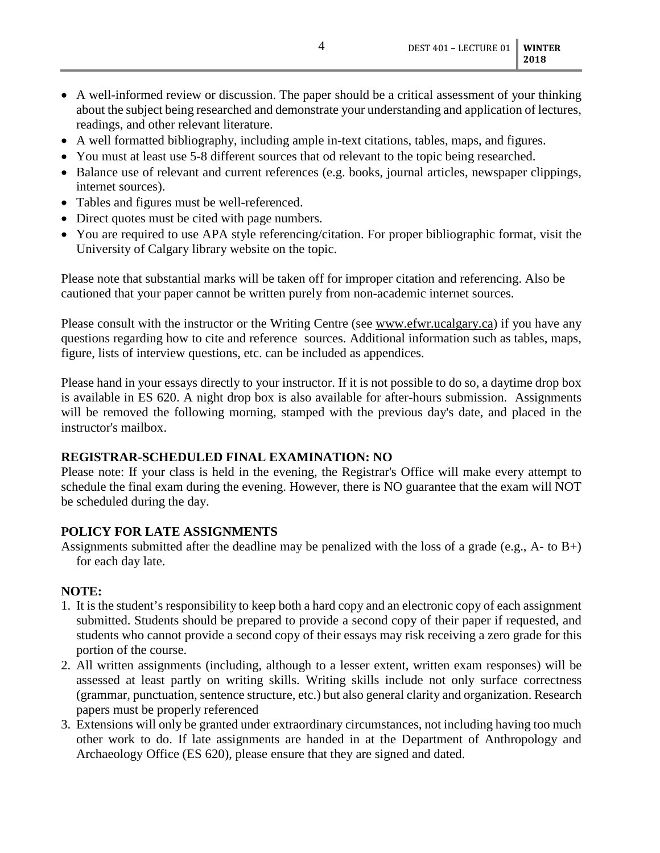- A well-informed review or discussion. The paper should be a critical assessment of your thinking about the subject being researched and demonstrate your understanding and application of lectures, readings, and other relevant literature.
- A well formatted bibliography, including ample in-text citations, tables, maps, and figures.
- You must at least use 5-8 different sources that od relevant to the topic being researched.
- Balance use of relevant and current references (e.g. books, journal articles, newspaper clippings, internet sources).
- Tables and figures must be well-referenced.
- Direct quotes must be cited with page numbers.
- You are required to use APA style referencing/citation. For proper bibliographic format, visit the University of Calgary library website on the topic.

Please note that substantial marks will be taken off for improper citation and referencing. Also be cautioned that your paper cannot be written purely from non-academic internet sources.

Please consult with the instructor or the Writing Centre (see [www.efwr.ucalgary.ca\)](http://www.efwr.ucalgary.ca/) if you have any questions regarding how to cite and reference sources. Additional information such as tables, maps, figure, lists of interview questions, etc. can be included as appendices.

Please hand in your essays directly to your instructor. If it is not possible to do so, a daytime drop box is available in ES 620. A night drop box is also available for after-hours submission. Assignments will be removed the following morning, stamped with the previous day's date, and placed in the instructor's mailbox.

### **REGISTRAR-SCHEDULED FINAL EXAMINATION: NO**

Please note: If your class is held in the evening, the Registrar's Office will make every attempt to schedule the final exam during the evening. However, there is NO guarantee that the exam will NOT be scheduled during the day.

### **POLICY FOR LATE ASSIGNMENTS**

Assignments submitted after the deadline may be penalized with the loss of a grade (e.g.,  $A$ - to  $B$ +) for each day late.

### **NOTE:**

- 1. It is the student's responsibility to keep both a hard copy and an electronic copy of each assignment submitted. Students should be prepared to provide a second copy of their paper if requested, and students who cannot provide a second copy of their essays may risk receiving a zero grade for this portion of the course.
- 2. All written assignments (including, although to a lesser extent, written exam responses) will be assessed at least partly on writing skills. Writing skills include not only surface correctness (grammar, punctuation, sentence structure, etc.) but also general clarity and organization. Research papers must be properly referenced
- 3. Extensions will only be granted under extraordinary circumstances, not including having too much other work to do. If late assignments are handed in at the Department of Anthropology and Archaeology Office (ES 620), please ensure that they are signed and dated.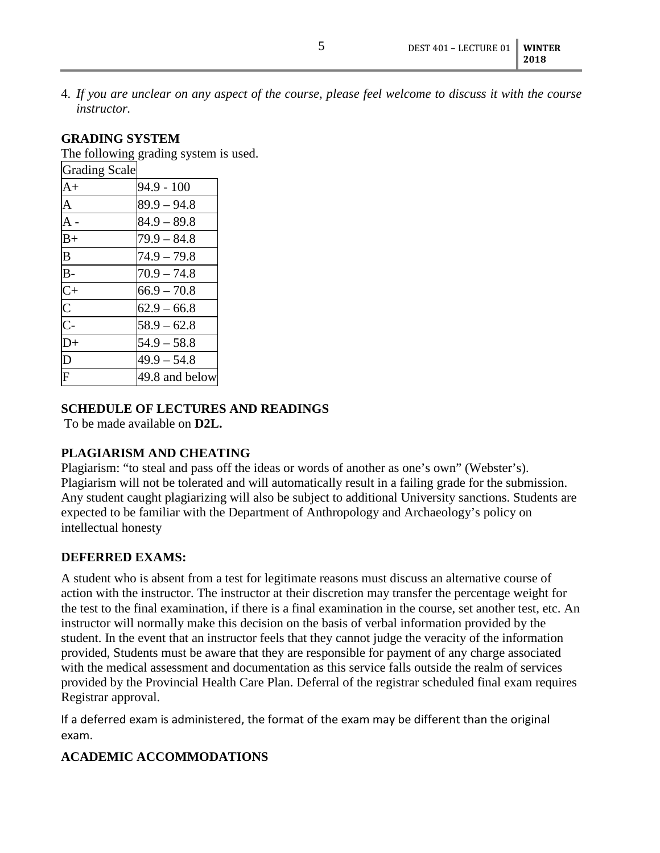4. *If you are unclear on any aspect of the course, please feel welcome to discuss it with the course instructor.*

### **GRADING SYSTEM**

The following grading system is used.

| <b>Grading Scale</b>       |                |
|----------------------------|----------------|
| $A+$                       | $94.9 - 100$   |
| A                          | $89.9 - 94.8$  |
| $\overline{A}$ -           | $84.9 - 89.8$  |
| $B+$                       | $79.9 - 84.8$  |
| $\overline{\mathsf{B}}$    | $74.9 - 79.8$  |
| $B -$                      | $70.9 - 74.8$  |
| $rac{C}{C}$<br>$rac{C}{C}$ | $66.9 - 70.8$  |
|                            | $62.9 - 66.8$  |
|                            | $58.9 - 62.8$  |
| $\overline{D}$ +           | $54.9 - 58.8$  |
| $\overline{\mathbf{D}}$    | $49.9 - 54.8$  |
| $\overline{\mathrm{F}}$    | 49.8 and below |

### **SCHEDULE OF LECTURES AND READINGS**

To be made available on **D2L.**

## **PLAGIARISM AND CHEATING**

Plagiarism: "to steal and pass off the ideas or words of another as one's own" (Webster's). Plagiarism will not be tolerated and will automatically result in a failing grade for the submission. Any student caught plagiarizing will also be subject to additional University sanctions. Students are expected to be familiar with the Department of Anthropology and Archaeology's policy on intellectual honesty

## **DEFERRED EXAMS:**

A student who is absent from a test for legitimate reasons must discuss an alternative course of action with the instructor. The instructor at their discretion may transfer the percentage weight for the test to the final examination, if there is a final examination in the course, set another test, etc. An instructor will normally make this decision on the basis of verbal information provided by the student. In the event that an instructor feels that they cannot judge the veracity of the information provided, Students must be aware that they are responsible for payment of any charge associated with the medical assessment and documentation as this service falls outside the realm of services provided by the Provincial Health Care Plan. Deferral of the registrar scheduled final exam requires Registrar approval.

If a deferred exam is administered, the format of the exam may be different than the original exam.

## **ACADEMIC ACCOMMODATIONS**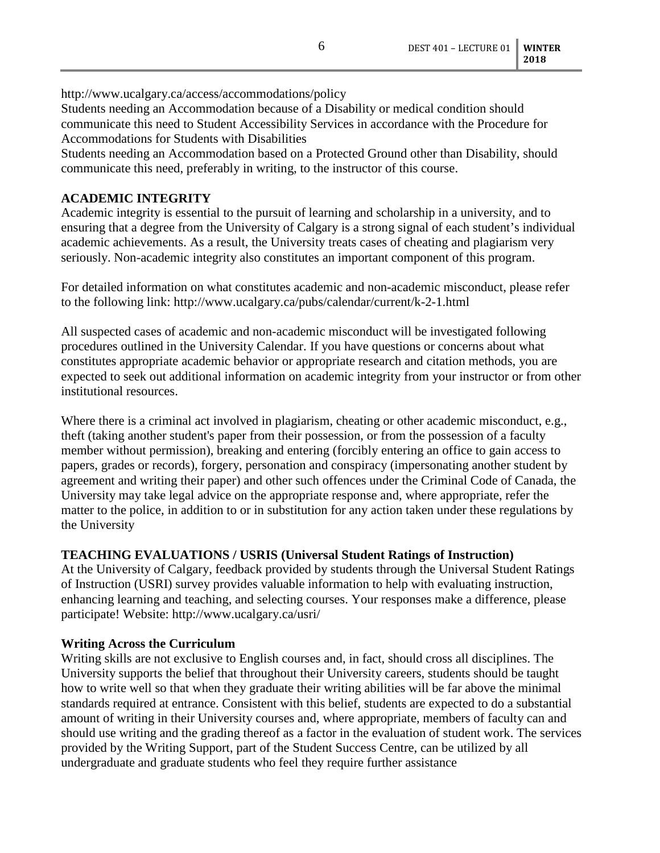http://www.ucalgary.ca/access/accommodations/policy

Students needing an Accommodation because of a Disability or medical condition should communicate this need to Student Accessibility Services in accordance with the Procedure for Accommodations for Students with Disabilities

Students needing an Accommodation based on a Protected Ground other than Disability, should communicate this need, preferably in writing, to the instructor of this course.

### **ACADEMIC INTEGRITY**

Academic integrity is essential to the pursuit of learning and scholarship in a university, and to ensuring that a degree from the University of Calgary is a strong signal of each student's individual academic achievements. As a result, the University treats cases of cheating and plagiarism very seriously. Non-academic integrity also constitutes an important component of this program.

For detailed information on what constitutes academic and non-academic misconduct, please refer to the following link: http://www.ucalgary.ca/pubs/calendar/current/k-2-1.html

All suspected cases of academic and non-academic misconduct will be investigated following procedures outlined in the University Calendar. If you have questions or concerns about what constitutes appropriate academic behavior or appropriate research and citation methods, you are expected to seek out additional information on academic integrity from your instructor or from other institutional resources.

Where there is a criminal act involved in plagiarism, cheating or other academic misconduct, e.g., theft (taking another student's paper from their possession, or from the possession of a faculty member without permission), breaking and entering (forcibly entering an office to gain access to papers, grades or records), forgery, personation and conspiracy (impersonating another student by agreement and writing their paper) and other such offences under the Criminal Code of Canada, the University may take legal advice on the appropriate response and, where appropriate, refer the matter to the police, in addition to or in substitution for any action taken under these regulations by the University

### **TEACHING EVALUATIONS / USRIS (Universal Student Ratings of Instruction)**

At the University of Calgary, feedback provided by students through the Universal Student Ratings of Instruction (USRI) survey provides valuable information to help with evaluating instruction, enhancing learning and teaching, and selecting courses. Your responses make a difference, please participate! Website: http://www.ucalgary.ca/usri/

### **Writing Across the Curriculum**

Writing skills are not exclusive to English courses and, in fact, should cross all disciplines. The University supports the belief that throughout their University careers, students should be taught how to write well so that when they graduate their writing abilities will be far above the minimal standards required at entrance. Consistent with this belief, students are expected to do a substantial amount of writing in their University courses and, where appropriate, members of faculty can and should use writing and the grading thereof as a factor in the evaluation of student work. The services provided by the Writing Support, part of the Student Success Centre, can be utilized by all undergraduate and graduate students who feel they require further assistance